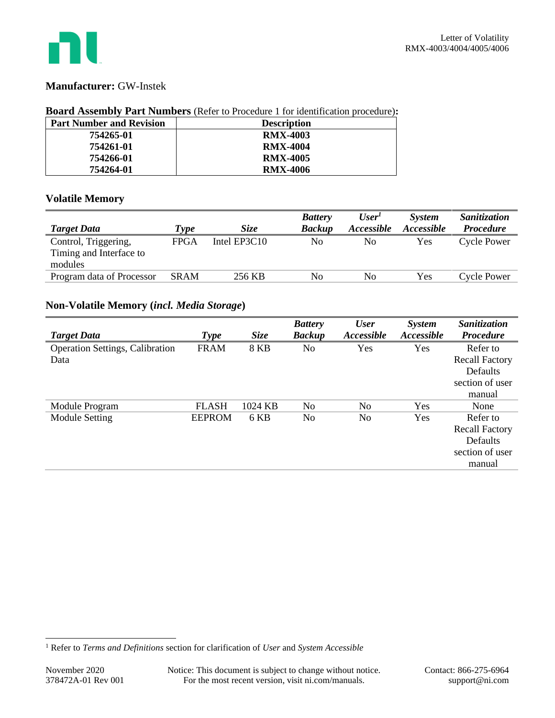

### **Manufacturer:** GW-Instek

### **Board Assembly Part Numbers** (Refer to Procedure 1 for identification procedure)**:**

| <b>Part Number and Revision</b> | <b>Description</b> |
|---------------------------------|--------------------|
| 754265-01                       | <b>RMX-4003</b>    |
| 754261-01                       | <b>RMX-4004</b>    |
| 754266-01                       | <b>RMX-4005</b>    |
| 754264-01                       | <b>RMX-4006</b>    |

### **Volatile Memory**

|                                                            |             |                | <b>Battery</b> | User <sup>T</sup> | <b>System</b>     | Sanitization       |
|------------------------------------------------------------|-------------|----------------|----------------|-------------------|-------------------|--------------------|
| <b>Target Data</b>                                         | Type        | <i>Size</i>    | <b>Backup</b>  | <i>Accessible</i> | <i>Accessible</i> | <b>Procedure</b>   |
| Control, Triggering,<br>Timing and Interface to<br>modules | <b>FPGA</b> | Intel $EP3C10$ | No             | No                | Yes               | <b>Cycle Power</b> |
| Program data of Processor                                  | <b>SRAM</b> | 256 KB         | No             | No.               | Yes               | Cycle Power        |

## **Non-Volatile Memory (***incl. Media Storage***)**

|                                 |               |             | <b>Battery</b> | <b>User</b>              | <b>System</b> | Sanitization          |
|---------------------------------|---------------|-------------|----------------|--------------------------|---------------|-----------------------|
| <b>Target Data</b>              | <b>Type</b>   | <b>Size</b> | <b>Backup</b>  | <i><b>Accessible</b></i> | Accessible    | <b>Procedure</b>      |
| Operation Settings, Calibration | <b>FRAM</b>   | <b>8 KB</b> | No             | Yes                      | Yes           | Refer to              |
| Data                            |               |             |                |                          |               | <b>Recall Factory</b> |
|                                 |               |             |                |                          |               | Defaults              |
|                                 |               |             |                |                          |               | section of user       |
|                                 |               |             |                |                          |               | manual                |
| Module Program                  | <b>FLASH</b>  | 1024 KB     | N <sub>0</sub> | N <sub>0</sub>           | Yes           | None                  |
| Module Setting                  | <b>EEPROM</b> | 6 KB        | N <sub>0</sub> | N <sub>0</sub>           | Yes           | Refer to              |
|                                 |               |             |                |                          |               | <b>Recall Factory</b> |
|                                 |               |             |                |                          |               | Defaults              |
|                                 |               |             |                |                          |               | section of user       |
|                                 |               |             |                |                          |               | manual                |

<sup>1</sup> Refer to *Terms and Definitions* section for clarification of *User* and *System Accessible*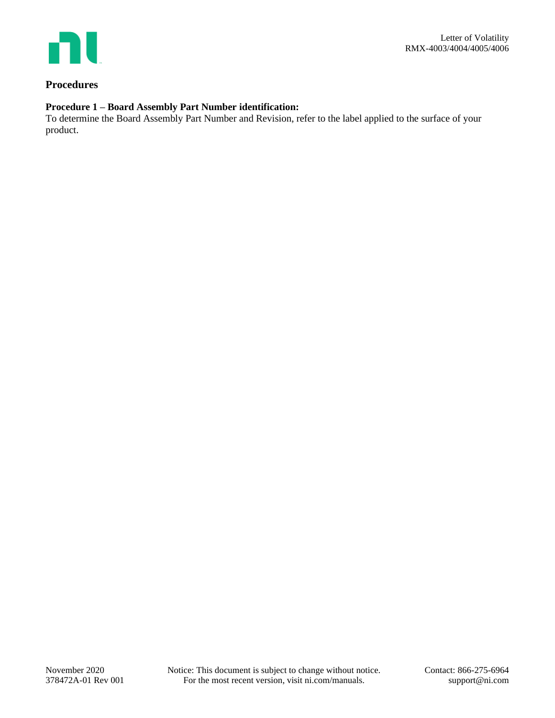

### **Procedures**

# **Procedure 1 – Board Assembly Part Number identification:**

To determine the Board Assembly Part Number and Revision, refer to the label applied to the surface of your product.